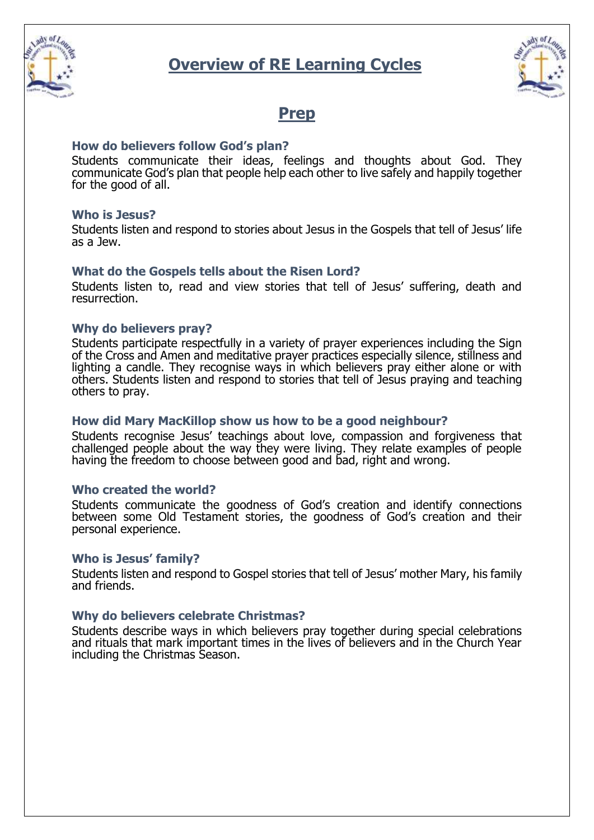



## **Prep**

## **How do believers follow God's plan?**

Students communicate their ideas, feelings and thoughts about God. They communicate God's plan that people help each other to live safely and happily together for the good of all.

## **Who is Jesus?**

Students listen and respond to stories about Jesus in the Gospels that tell of Jesus' life as a Jew.

## **What do the Gospels tells about the Risen Lord?**

Students listen to, read and view stories that tell of Jesus' suffering, death and resurrection.

## **Why do believers pray?**

Students participate respectfully in a variety of prayer experiences including the Sign of the Cross and Amen and meditative prayer practices especially silence, stillness and lighting a candle. They recognise ways in which believers pray either alone or with others. Students listen and respond to stories that tell of Jesus praying and teaching others to pray.

#### **How did Mary MacKillop show us how to be a good neighbour?**

Students recognise Jesus' teachings about love, compassion and forgiveness that challenged people about the way they were living. They relate examples of people having the freedom to choose between good and bad, right and wrong.

## **Who created the world?**

Students communicate the goodness of God's creation and identify connections between some Old Testament stories, the goodness of God's creation and their personal experience.

#### **Who is Jesus' family?**

Students listen and respond to Gospel stories that tell of Jesus' mother Mary, his family and friends.

## **Why do believers celebrate Christmas?**

Students describe ways in which believers pray together during special celebrations and rituals that mark important times in the lives of believers and in the Church Year including the Christmas Season.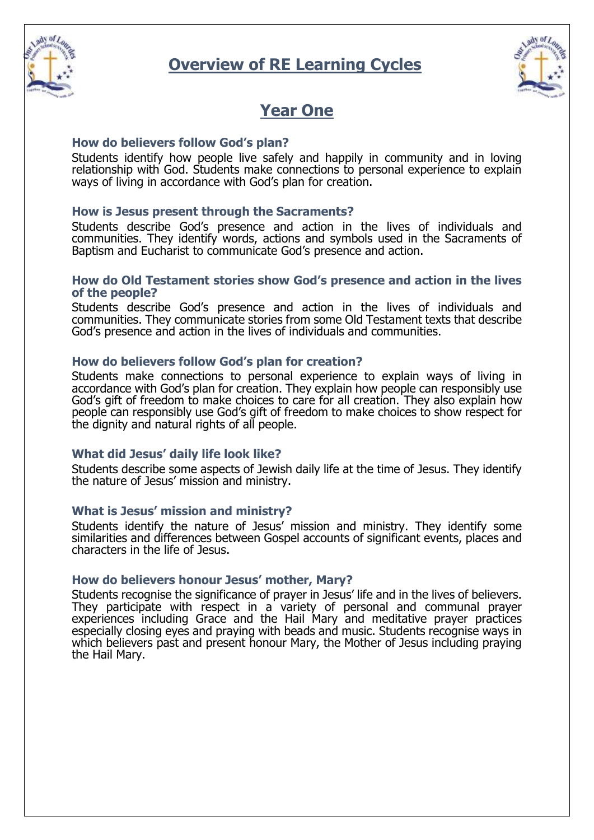



## **Year One**

## **How do believers follow God's plan?**

Students identify how people live safely and happily in community and in loving relationship with God. Students make connections to personal experience to explain ways of living in accordance with God's plan for creation.

## **How is Jesus present through the Sacraments?**

Students describe God's presence and action in the lives of individuals and communities. They identify words, actions and symbols used in the Sacraments of Baptism and Eucharist to communicate God's presence and action.

#### **How do Old Testament stories show God's presence and action in the lives of the people?**

Students describe God's presence and action in the lives of individuals and communities. They communicate stories from some Old Testament texts that describe God's presence and action in the lives of individuals and communities.

#### **How do believers follow God's plan for creation?**

Students make connections to personal experience to explain ways of living in accordance with God's plan for creation. They explain how people can responsibly use God's gift of freedom to make choices to care for all creation. They also explain how people can responsibly use God's gift of freedom to make choices to show respect for the dignity and natural rights of all people.

#### **What did Jesus' daily life look like?**

Students describe some aspects of Jewish daily life at the time of Jesus. They identify the nature of Jesus' mission and ministry.

#### **What is Jesus' mission and ministry?**

Students identify the nature of Jesus' mission and ministry. They identify some similarities and differences between Gospel accounts of significant events, places and characters in the life of Jesus.

#### **How do believers honour Jesus' mother, Mary?**

Students recognise the significance of prayer in Jesus' life and in the lives of believers. They participate with respect in a variety of personal and communal prayer experiences including Grace and the Hail Mary and meditative prayer practices especially closing eyes and praying with beads and music. Students recognise ways in which believers past and present honour Mary, the Mother of Jesus including praying the Hail Mary.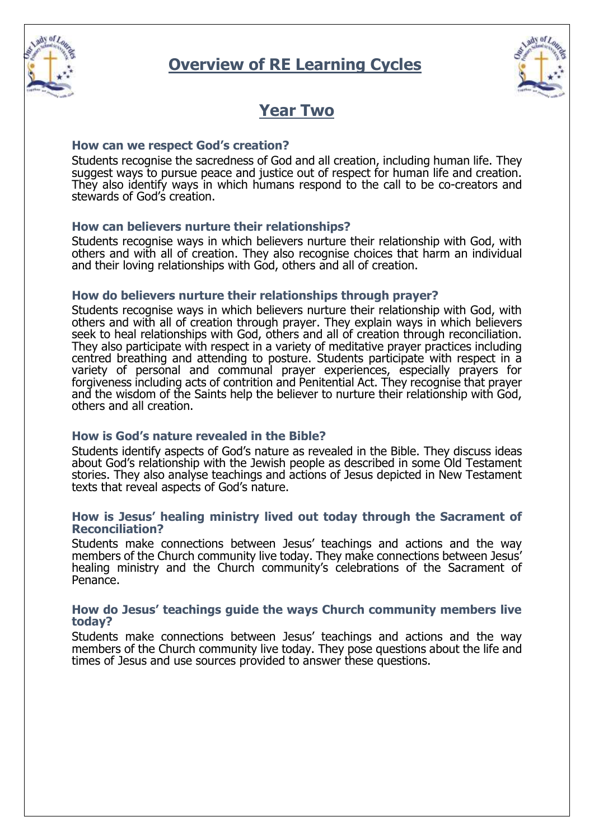



## **Year Two**

#### **How can we respect God's creation?**

Students recognise the sacredness of God and all creation, including human life. They suggest ways to pursue peace and justice out of respect for human life and creation. They also identify ways in which humans respond to the call to be co-creators and stewards of God's creation.

## **How can believers nurture their relationships?**

Students recognise ways in which believers nurture their relationship with God, with others and with all of creation. They also recognise choices that harm an individual and their loving relationships with God, others and all of creation.

#### **How do believers nurture their relationships through prayer?**

Students recognise ways in which believers nurture their relationship with God, with others and with all of creation through prayer. They explain ways in which believers seek to heal relationships with God, others and all of creation through reconciliation. They also participate with respect in a variety of meditative prayer practices including centred breathing and attending to posture. Students participate with respect in a variety of personal and communal prayer experiences, especially prayers for forgiveness including acts of contrition and Penitential Act. They recognise that prayer and the wisdom of the Saints help the believer to nurture their relationship with God, others and all creation.

## **How is God's nature revealed in the Bible?**

Students identify aspects of God's nature as revealed in the Bible. They discuss ideas about God's relationship with the Jewish people as described in some Old Testament stories. They also analyse teachings and actions of Jesus depicted in New Testament texts that reveal aspects of God's nature.

#### **How is Jesus' healing ministry lived out today through the Sacrament of Reconciliation?**

Students make connections between Jesus' teachings and actions and the way members of the Church community live today. They make connections between Jesus' healing ministry and the Church community's celebrations of the Sacrament of Penance.

#### **How do Jesus' teachings guide the ways Church community members live today?**

Students make connections between Jesus' teachings and actions and the way members of the Church community live today. They pose questions about the life and times of Jesus and use sources provided to answer these questions.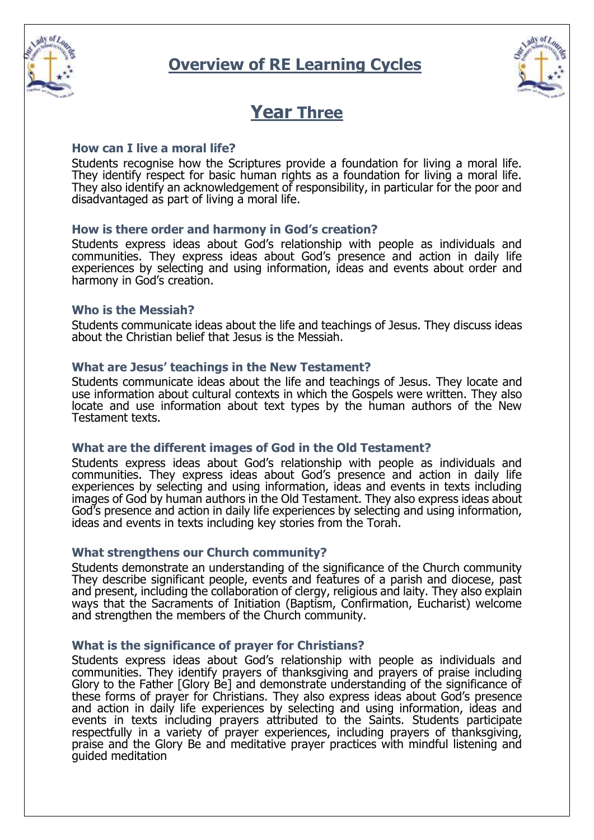



## **Year Three**

#### **How can I live a moral life?**

Students recognise how the Scriptures provide a foundation for living a moral life. They identify respect for basic human rights as a foundation for living a moral life. They also identify an acknowledgement of responsibility, in particular for the poor and disadvantaged as part of living a moral life.

## **How is there order and harmony in God's creation?**

Students express ideas about God's relationship with people as individuals and communities. They express ideas about God's presence and action in daily life experiences by selecting and using information, ideas and events about order and harmony in God's creation.

#### **Who is the Messiah?**

Students communicate ideas about the life and teachings of Jesus. They discuss ideas about the Christian belief that Jesus is the Messiah.

#### **What are Jesus' teachings in the New Testament?**

Students communicate ideas about the life and teachings of Jesus. They locate and use information about cultural contexts in which the Gospels were written. They also locate and use information about text types by the human authors of the New Testament texts.

#### **What are the different images of God in the Old Testament?**

Students express ideas about God's relationship with people as individuals and communities. They express ideas about God's presence and action in daily life experiences by selecting and using information, ideas and events in texts including images of God by human authors in the Old Testament. They also express ideas about God's presence and action in daily life experiences by selecting and using information, ideas and events in texts including key stories from the Torah.

## **What strengthens our Church community?**

Students demonstrate an understanding of the significance of the Church community They describe significant people, events and features of a parish and diocese, past and present, including the collaboration of clergy, religious and laity. They also explain ways that the Sacraments of Initiation (Baptism, Confirmation, Eucharist) welcome and strengthen the members of the Church community.

#### **What is the significance of prayer for Christians?**

Students express ideas about God's relationship with people as individuals and communities. They identify prayers of thanksgiving and prayers of praise including Glory to the Father [Glory Be] and demonstrate understanding of the significance of these forms of prayer for Christians. They also express ideas about God's presence and action in daily life experiences by selecting and using information, ideas and events in texts including prayers attributed to the Saints. Students participate respectfully in a variety of prayer experiences, including prayers of thanksgiving, praise and the Glory Be and meditative prayer practices with mindful listening and guided meditation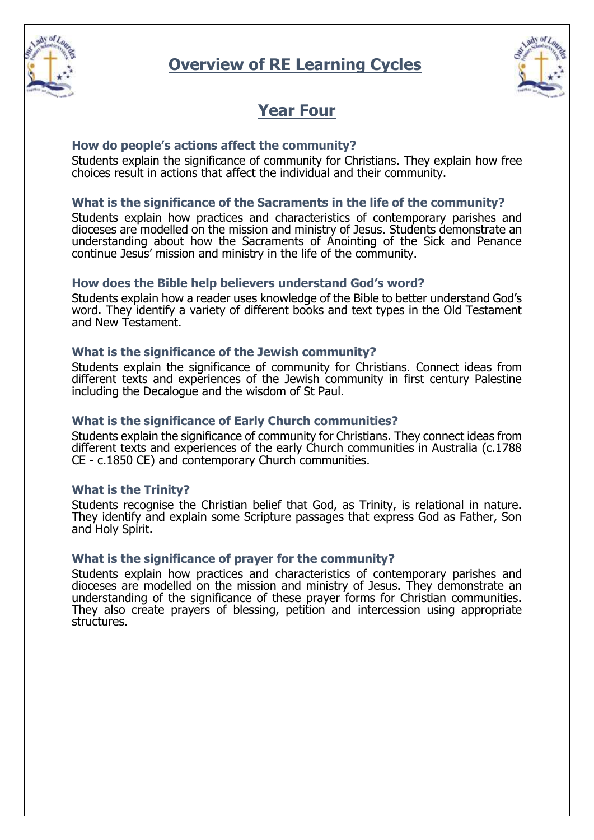



## **Year Four**

## **How do people's actions affect the community?**

Students explain the significance of community for Christians. They explain how free choices result in actions that affect the individual and their community.

## **What is the significance of the Sacraments in the life of the community?**

Students explain how practices and characteristics of contemporary parishes and dioceses are modelled on the mission and ministry of Jesus. Students demonstrate an understanding about how the Sacraments of Anointing of the Sick and Penance continue Jesus' mission and ministry in the life of the community.

## **How does the Bible help believers understand God's word?**

Students explain how a reader uses knowledge of the Bible to better understand God's word. They identify a variety of different books and text types in the Old Testament and New Testament.

## **What is the significance of the Jewish community?**

Students explain the significance of community for Christians. Connect ideas from different texts and experiences of the Jewish community in first century Palestine including the Decalogue and the wisdom of St Paul.

## **What is the significance of Early Church communities?**

Students explain the significance of community for Christians. They connect ideas from different texts and experiences of the early Church communities in Australia (c.1788 CE - c.1850 CE) and contemporary Church communities.

## **What is the Trinity?**

Students recognise the Christian belief that God, as Trinity, is relational in nature. They identify and explain some Scripture passages that express God as Father, Son and Holy Spirit.

## **What is the significance of prayer for the community?**

Students explain how practices and characteristics of contemporary parishes and dioceses are modelled on the mission and ministry of Jesus. They demonstrate an understanding of the significance of these prayer forms for Christian communities. They also create prayers of blessing, petition and intercession using appropriate structures.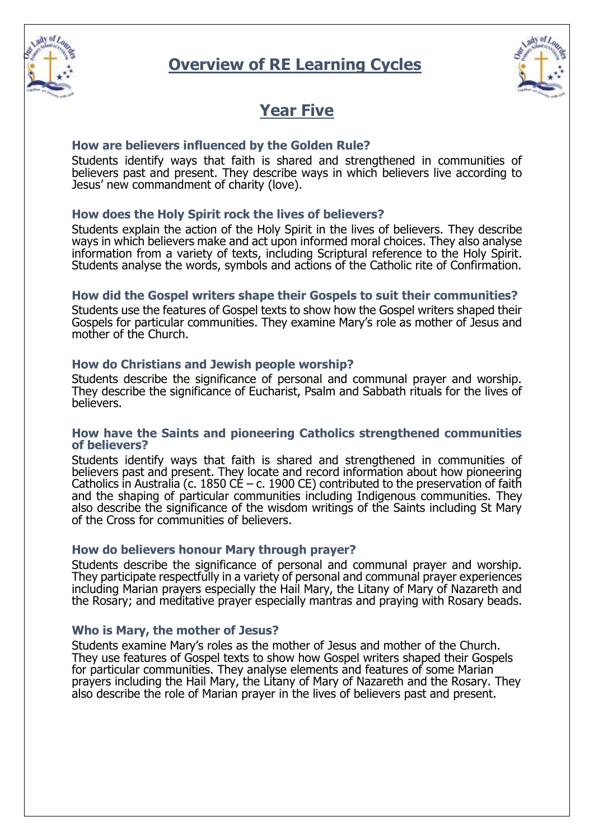



## **Year Five**

## **How are believers influenced by the Golden Rule?**

Students identify ways that faith is shared and strengthened in communities of believers past and present. They describe ways in which believers live according to Jesus' new commandment of charity (love).

## **How does the Holy Spirit rock the lives of believers?**

Students explain the action of the Holy Spirit in the lives of believers. They describe ways in which believers make and act upon informed moral choices. They also analyse information from a variety of texts, including Scriptural reference to the Holy Spirit. Students analyse the words, symbols and actions of the Catholic rite of Confirmation.

## **How did the Gospel writers shape their Gospels to suit their communities?**

Students use the features of Gospel texts to show how the Gospel writers shaped their Gospels for particular communities. They examine Mary's role as mother of Jesus and mother of the Church.

## **How do Christians and Jewish people worship?**

Students describe the significance of personal and communal prayer and worship. They describe the significance of Eucharist, Psalm and Sabbath rituals for the lives of believers.

#### **How have the Saints and pioneering Catholics strengthened communities of believers?**

Students identify ways that faith is shared and strengthened in communities of believers past and present. They locate and record information about how pioneering Catholics in Australia (c. 1850 CE – c. 1900 CE) contributed to the preservation of faith and the shaping of particular communities including Indigenous communities. They also describe the significance of the wisdom writings of the Saints including St Mary of the Cross for communities of believers.

## **How do believers honour Mary through prayer?**

Students describe the significance of personal and communal prayer and worship. They participate respectfully in a variety of personal and communal prayer experiences including Marian prayers especially the Hail Mary, the Litany of Mary of Nazareth and the Rosary; and meditative prayer especially mantras and praying with Rosary beads.

## **Who is Mary, the mother of Jesus?**

Students examine Mary's roles as the mother of Jesus and mother of the Church. They use features of Gospel texts to show how Gospel writers shaped their Gospels for particular communities. They analyse elements and features of some Marian prayers including the Hail Mary, the Litany of Mary of Nazareth and the Rosary. They also describe the role of Marian prayer in the lives of believers past and present.